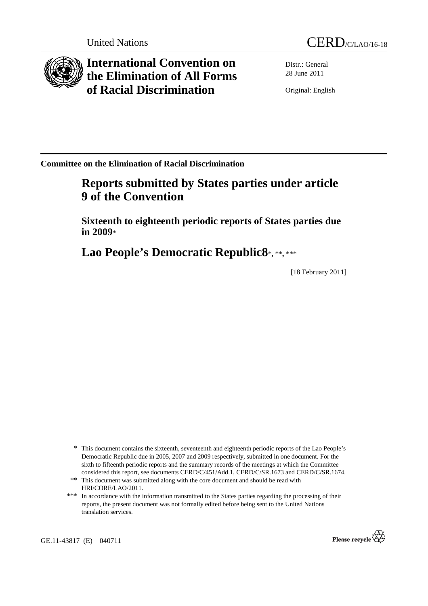

**International Convention on the Elimination of All Forms of Racial Discrimination** 



Distr.: General 28 June 2011

Original: English

**Committee on the Elimination of Racial Discrimination** 

# **Reports submitted by States parties under article 9 of the Convention**

 **Sixteenth to eighteenth periodic reports of States parties due in 2009**\*

 **Lao People's Democratic Republic8**\***,** \*\***,** \*\*\*

[18 February 2011]

GE.11-43817 (E) 040711



<sup>\*</sup> This document contains the sixteenth, seventeenth and eighteenth periodic reports of the Lao People's Democratic Republic due in 2005, 2007 and 2009 respectively, submitted in one document. For the sixth to fifteenth periodic reports and the summary records of the meetings at which the Committee considered this report, see documents CERD/C/451/Add.1, CERD/C/SR.1673 and CERD/C/SR.1674.

<sup>\*\*</sup> This document was submitted along with the core document and should be read with HRI/CORE/LAO/2011.

<sup>\*\*\*</sup> In accordance with the information transmitted to the States parties regarding the processing of their reports, the present document was not formally edited before being sent to the United Nations translation services.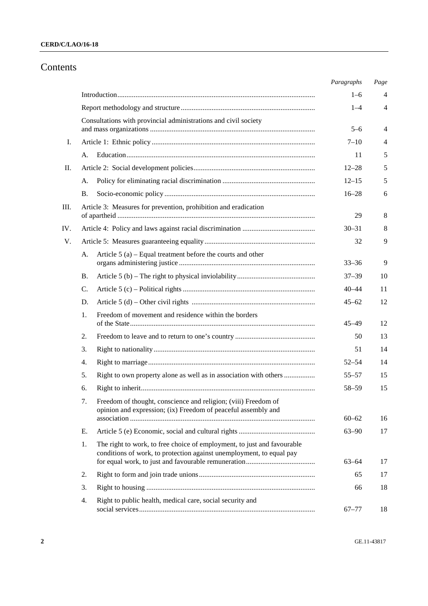## Contents

|     |    |                                                                                                                                                 | Paragraphs | Page |
|-----|----|-------------------------------------------------------------------------------------------------------------------------------------------------|------------|------|
|     |    |                                                                                                                                                 | $1 - 6$    | 4    |
|     |    |                                                                                                                                                 | $1 - 4$    | 4    |
|     |    | Consultations with provincial administrations and civil society                                                                                 |            |      |
|     |    |                                                                                                                                                 | $5 - 6$    | 4    |
| I.  |    |                                                                                                                                                 | $7 - 10$   | 4    |
|     | А. |                                                                                                                                                 | 11         | 5    |
| П.  |    |                                                                                                                                                 | $12 - 28$  | 5    |
|     | A. |                                                                                                                                                 | $12 - 15$  | 5    |
|     | Β. |                                                                                                                                                 | $16 - 28$  | 6    |
| Ш.  |    | Article 3: Measures for prevention, prohibition and eradication                                                                                 | 29         | 8    |
| IV. |    |                                                                                                                                                 | $30 - 31$  | 8    |
| V.  |    |                                                                                                                                                 | 32         | 9    |
|     | А. | Article $5(a)$ – Equal treatment before the courts and other                                                                                    | $33 - 36$  | 9    |
|     | В. |                                                                                                                                                 | $37 - 39$  | 10   |
|     | C. |                                                                                                                                                 | $40 - 44$  | 11   |
|     | D. |                                                                                                                                                 | $45 - 62$  | 12   |
|     | 1. | Freedom of movement and residence within the borders                                                                                            | $45 - 49$  | 12   |
|     | 2. |                                                                                                                                                 | 50         | 13   |
|     | 3. |                                                                                                                                                 | 51         | 14   |
|     | 4. |                                                                                                                                                 | $52 - 54$  | 14   |
|     | 5. | Right to own property alone as well as in association with others                                                                               | $55 - 57$  | 15   |
|     | 6. |                                                                                                                                                 | $58 - 59$  | 15   |
|     | 7. | Freedom of thought, conscience and religion; (viii) Freedom of<br>opinion and expression; (ix) Freedom of peaceful assembly and                 |            |      |
|     |    |                                                                                                                                                 | $60 - 62$  | 16   |
|     | Е. |                                                                                                                                                 | $63 - 90$  | 17   |
|     | 1. | The right to work, to free choice of employment, to just and favourable<br>conditions of work, to protection against unemployment, to equal pay | $63 - 64$  | 17   |
|     | 2. |                                                                                                                                                 | 65         | 17   |
|     | 3. |                                                                                                                                                 | 66         | 18   |
|     | 4. | Right to public health, medical care, social security and                                                                                       | $67 - 77$  | 18   |
|     |    |                                                                                                                                                 |            |      |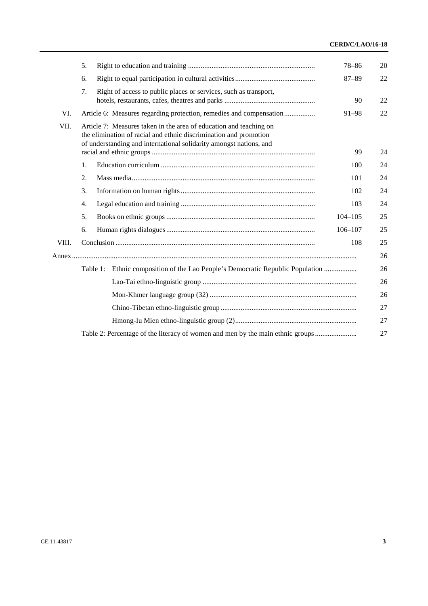### **CERD/C/LAO/16-18**

|       | 5. |                                                                                                                                                                                                               | $78 - 86$   | 20       |
|-------|----|---------------------------------------------------------------------------------------------------------------------------------------------------------------------------------------------------------------|-------------|----------|
|       | 6. |                                                                                                                                                                                                               | $87 - 89$   | 22       |
|       | 7. | Right of access to public places or services, such as transport,                                                                                                                                              | 90          | 22       |
| VI.   |    | Article 6: Measures regarding protection, remedies and compensation                                                                                                                                           | $91 - 98$   | 22       |
| VII.  |    | Article 7: Measures taken in the area of education and teaching on<br>the elimination of racial and ethnic discrimination and promotion<br>of understanding and international solidarity amongst nations, and | 99          | 24       |
|       | 1. |                                                                                                                                                                                                               | 100         | 24       |
|       | 2. |                                                                                                                                                                                                               | 101         | 24       |
|       | 3. |                                                                                                                                                                                                               | 102         | 24       |
|       | 4. |                                                                                                                                                                                                               | 103         | 24       |
|       | 5. |                                                                                                                                                                                                               | $104 - 105$ | 25       |
|       | 6. |                                                                                                                                                                                                               | $106 - 107$ | 25       |
| VIII. |    |                                                                                                                                                                                                               | 108         | 25<br>26 |
|       |    | Table 1:                                                                                                                                                                                                      |             | 26       |
|       |    |                                                                                                                                                                                                               |             | 26       |
|       |    |                                                                                                                                                                                                               |             | 26       |
|       |    |                                                                                                                                                                                                               |             | 27       |
|       |    |                                                                                                                                                                                                               |             | 27       |
|       |    | Table 2: Percentage of the literacy of women and men by the main ethnic groups                                                                                                                                |             | 27       |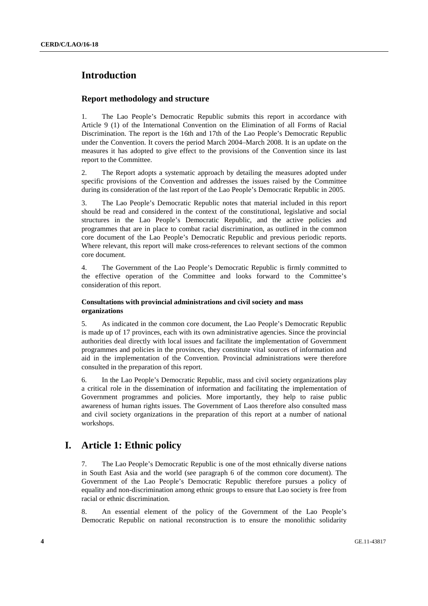## **Introduction**

### **Report methodology and structure**

1. The Lao People's Democratic Republic submits this report in accordance with Article 9 (1) of the International Convention on the Elimination of all Forms of Racial Discrimination. The report is the 16th and 17th of the Lao People's Democratic Republic under the Convention. It covers the period March 2004–March 2008. It is an update on the measures it has adopted to give effect to the provisions of the Convention since its last report to the Committee.

2. The Report adopts a systematic approach by detailing the measures adopted under specific provisions of the Convention and addresses the issues raised by the Committee during its consideration of the last report of the Lao People's Democratic Republic in 2005.

3. The Lao People's Democratic Republic notes that material included in this report should be read and considered in the context of the constitutional, legislative and social structures in the Lao People's Democratic Republic, and the active policies and programmes that are in place to combat racial discrimination, as outlined in the common core document of the Lao People's Democratic Republic and previous periodic reports. Where relevant, this report will make cross-references to relevant sections of the common core document.

4. The Government of the Lao People's Democratic Republic is firmly committed to the effective operation of the Committee and looks forward to the Committee's consideration of this report.

### **Consultations with provincial administrations and civil society and mass organizations**

5. As indicated in the common core document, the Lao People's Democratic Republic is made up of 17 provinces, each with its own administrative agencies. Since the provincial authorities deal directly with local issues and facilitate the implementation of Government programmes and policies in the provinces, they constitute vital sources of information and aid in the implementation of the Convention. Provincial administrations were therefore consulted in the preparation of this report.

6. In the Lao People's Democratic Republic, mass and civil society organizations play a critical role in the dissemination of information and facilitating the implementation of Government programmes and policies. More importantly, they help to raise public awareness of human rights issues. The Government of Laos therefore also consulted mass and civil society organizations in the preparation of this report at a number of national workshops.

## **I. Article 1: Ethnic policy**

7. The Lao People's Democratic Republic is one of the most ethnically diverse nations in South East Asia and the world (see paragraph 6 of the common core document). The Government of the Lao People's Democratic Republic therefore pursues a policy of equality and non-discrimination among ethnic groups to ensure that Lao society is free from racial or ethnic discrimination.

8. An essential element of the policy of the Government of the Lao People's Democratic Republic on national reconstruction is to ensure the monolithic solidarity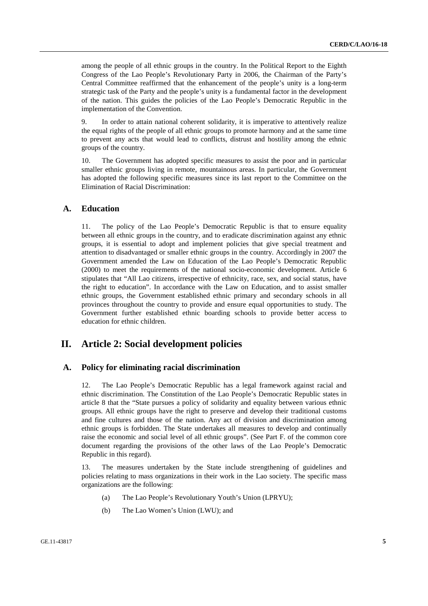among the people of all ethnic groups in the country. In the Political Report to the Eighth Congress of the Lao People's Revolutionary Party in 2006, the Chairman of the Party's Central Committee reaffirmed that the enhancement of the people's unity is a long-term strategic task of the Party and the people's unity is a fundamental factor in the development of the nation. This guides the policies of the Lao People's Democratic Republic in the implementation of the Convention.

9. In order to attain national coherent solidarity, it is imperative to attentively realize the equal rights of the people of all ethnic groups to promote harmony and at the same time to prevent any acts that would lead to conflicts, distrust and hostility among the ethnic groups of the country.

10. The Government has adopted specific measures to assist the poor and in particular smaller ethnic groups living in remote, mountainous areas. In particular, the Government has adopted the following specific measures since its last report to the Committee on the Elimination of Racial Discrimination:

### **A. Education**

11. The policy of the Lao People's Democratic Republic is that to ensure equality between all ethnic groups in the country, and to eradicate discrimination against any ethnic groups, it is essential to adopt and implement policies that give special treatment and attention to disadvantaged or smaller ethnic groups in the country. Accordingly in 2007 the Government amended the Law on Education of the Lao People's Democratic Republic (2000) to meet the requirements of the national socio-economic development. Article 6 stipulates that "All Lao citizens, irrespective of ethnicity, race, sex, and social status, have the right to education". In accordance with the Law on Education, and to assist smaller ethnic groups, the Government established ethnic primary and secondary schools in all provinces throughout the country to provide and ensure equal opportunities to study. The Government further established ethnic boarding schools to provide better access to education for ethnic children.

## **II. Article 2: Social development policies**

### **A. Policy for eliminating racial discrimination**

12. The Lao People's Democratic Republic has a legal framework against racial and ethnic discrimination. The Constitution of the Lao People's Democratic Republic states in article 8 that the "State pursues a policy of solidarity and equality between various ethnic groups. All ethnic groups have the right to preserve and develop their traditional customs and fine cultures and those of the nation. Any act of division and discrimination among ethnic groups is forbidden. The State undertakes all measures to develop and continually raise the economic and social level of all ethnic groups". (See Part F. of the common core document regarding the provisions of the other laws of the Lao People's Democratic Republic in this regard).

13. The measures undertaken by the State include strengthening of guidelines and policies relating to mass organizations in their work in the Lao society. The specific mass organizations are the following:

- (a) The Lao People's Revolutionary Youth's Union (LPRYU);
- (b) The Lao Women's Union (LWU); and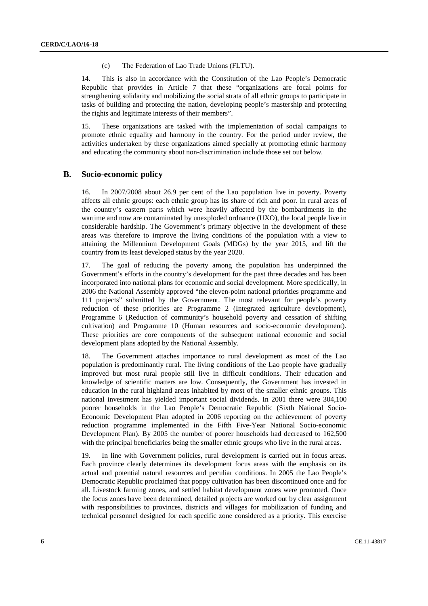#### (c) The Federation of Lao Trade Unions (FLTU).

14. This is also in accordance with the Constitution of the Lao People's Democratic Republic that provides in Article 7 that these "organizations are focal points for strengthening solidarity and mobilizing the social strata of all ethnic groups to participate in tasks of building and protecting the nation, developing people's mastership and protecting the rights and legitimate interests of their members".

15. These organizations are tasked with the implementation of social campaigns to promote ethnic equality and harmony in the country. For the period under review, the activities undertaken by these organizations aimed specially at promoting ethnic harmony and educating the community about non-discrimination include those set out below.

### **B. Socio-economic policy**

16. In 2007/2008 about 26.9 per cent of the Lao population live in poverty. Poverty affects all ethnic groups: each ethnic group has its share of rich and poor. In rural areas of the country's eastern parts which were heavily affected by the bombardments in the wartime and now are contaminated by unexploded ordnance (UXO), the local people live in considerable hardship. The Government's primary objective in the development of these areas was therefore to improve the living conditions of the population with a view to attaining the Millennium Development Goals (MDGs) by the year 2015, and lift the country from its least developed status by the year 2020.

17. The goal of reducing the poverty among the population has underpinned the Government's efforts in the country's development for the past three decades and has been incorporated into national plans for economic and social development. More specifically, in 2006 the National Assembly approved "the eleven-point national priorities programme and 111 projects" submitted by the Government. The most relevant for people's poverty reduction of these priorities are Programme 2 (Integrated agriculture development), Programme 6 (Reduction of community's household poverty and cessation of shifting cultivation) and Programme 10 (Human resources and socio-economic development). These priorities are core components of the subsequent national economic and social development plans adopted by the National Assembly.

18. The Government attaches importance to rural development as most of the Lao population is predominantly rural. The living conditions of the Lao people have gradually improved but most rural people still live in difficult conditions. Their education and knowledge of scientific matters are low. Consequently, the Government has invested in education in the rural highland areas inhabited by most of the smaller ethnic groups. This national investment has yielded important social dividends. In 2001 there were 304,100 poorer households in the Lao People's Democratic Republic (Sixth National Socio-Economic Development Plan adopted in 2006 reporting on the achievement of poverty reduction programme implemented in the Fifth Five-Year National Socio-economic Development Plan). By 2005 the number of poorer households had decreased to 162,500 with the principal beneficiaries being the smaller ethnic groups who live in the rural areas.

19. In line with Government policies, rural development is carried out in focus areas. Each province clearly determines its development focus areas with the emphasis on its actual and potential natural resources and peculiar conditions. In 2005 the Lao People's Democratic Republic proclaimed that poppy cultivation has been discontinued once and for all. Livestock farming zones, and settled habitat development zones were promoted. Once the focus zones have been determined, detailed projects are worked out by clear assignment with responsibilities to provinces, districts and villages for mobilization of funding and technical personnel designed for each specific zone considered as a priority. This exercise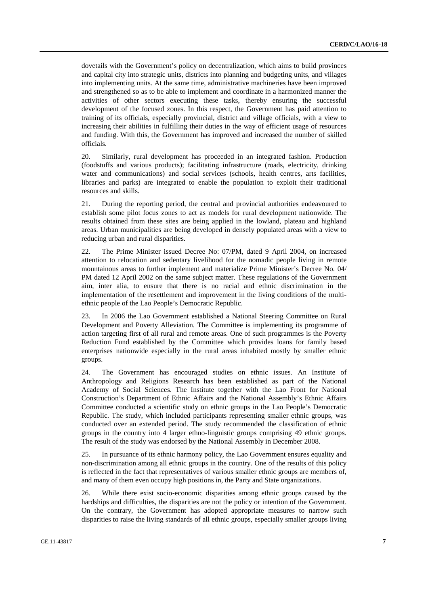dovetails with the Government's policy on decentralization, which aims to build provinces and capital city into strategic units, districts into planning and budgeting units, and villages into implementing units. At the same time, administrative machineries have been improved and strengthened so as to be able to implement and coordinate in a harmonized manner the activities of other sectors executing these tasks, thereby ensuring the successful development of the focused zones. In this respect, the Government has paid attention to training of its officials, especially provincial, district and village officials, with a view to increasing their abilities in fulfilling their duties in the way of efficient usage of resources and funding. With this, the Government has improved and increased the number of skilled officials.

20. Similarly, rural development has proceeded in an integrated fashion. Production (foodstuffs and various products); facilitating infrastructure (roads, electricity, drinking water and communications) and social services (schools, health centres, arts facilities, libraries and parks) are integrated to enable the population to exploit their traditional resources and skills.

21. During the reporting period, the central and provincial authorities endeavoured to establish some pilot focus zones to act as models for rural development nationwide. The results obtained from these sites are being applied in the lowland, plateau and highland areas. Urban municipalities are being developed in densely populated areas with a view to reducing urban and rural disparities.

22. The Prime Minister issued Decree No: 07/PM, dated 9 April 2004, on increased attention to relocation and sedentary livelihood for the nomadic people living in remote mountainous areas to further implement and materialize Prime Minister's Decree No. 04/ PM dated 12 April 2002 on the same subject matter. These regulations of the Government aim, inter alia, to ensure that there is no racial and ethnic discrimination in the implementation of the resettlement and improvement in the living conditions of the multiethnic people of the Lao People's Democratic Republic.

23. In 2006 the Lao Government established a National Steering Committee on Rural Development and Poverty Alleviation. The Committee is implementing its programme of action targeting first of all rural and remote areas. One of such programmes is the Poverty Reduction Fund established by the Committee which provides loans for family based enterprises nationwide especially in the rural areas inhabited mostly by smaller ethnic groups.

24. The Government has encouraged studies on ethnic issues. An Institute of Anthropology and Religions Research has been established as part of the National Academy of Social Sciences. The Institute together with the Lao Front for National Construction's Department of Ethnic Affairs and the National Assembly's Ethnic Affairs Committee conducted a scientific study on ethnic groups in the Lao People's Democratic Republic. The study, which included participants representing smaller ethnic groups, was conducted over an extended period. The study recommended the classification of ethnic groups in the country into 4 larger ethno-linguistic groups comprising 49 ethnic groups. The result of the study was endorsed by the National Assembly in December 2008.

25. In pursuance of its ethnic harmony policy, the Lao Government ensures equality and non-discrimination among all ethnic groups in the country. One of the results of this policy is reflected in the fact that representatives of various smaller ethnic groups are members of, and many of them even occupy high positions in, the Party and State organizations.

26. While there exist socio-economic disparities among ethnic groups caused by the hardships and difficulties, the disparities are not the policy or intention of the Government. On the contrary, the Government has adopted appropriate measures to narrow such disparities to raise the living standards of all ethnic groups, especially smaller groups living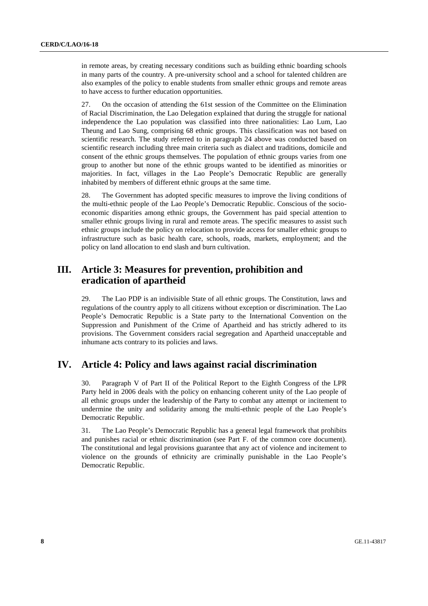in remote areas, by creating necessary conditions such as building ethnic boarding schools in many parts of the country. A pre-university school and a school for talented children are also examples of the policy to enable students from smaller ethnic groups and remote areas to have access to further education opportunities.

27. On the occasion of attending the 61st session of the Committee on the Elimination of Racial Discrimination, the Lao Delegation explained that during the struggle for national independence the Lao population was classified into three nationalities: Lao Lum, Lao Theung and Lao Sung, comprising 68 ethnic groups. This classification was not based on scientific research. The study referred to in paragraph 24 above was conducted based on scientific research including three main criteria such as dialect and traditions, domicile and consent of the ethnic groups themselves. The population of ethnic groups varies from one group to another but none of the ethnic groups wanted to be identified as minorities or majorities. In fact, villages in the Lao People's Democratic Republic are generally inhabited by members of different ethnic groups at the same time.

28. The Government has adopted specific measures to improve the living conditions of the multi-ethnic people of the Lao People's Democratic Republic. Conscious of the socioeconomic disparities among ethnic groups, the Government has paid special attention to smaller ethnic groups living in rural and remote areas. The specific measures to assist such ethnic groups include the policy on relocation to provide access for smaller ethnic groups to infrastructure such as basic health care, schools, roads, markets, employment; and the policy on land allocation to end slash and burn cultivation.

## **III. Article 3: Measures for prevention, prohibition and eradication of apartheid**

29. The Lao PDP is an indivisible State of all ethnic groups. The Constitution, laws and regulations of the country apply to all citizens without exception or discrimination. The Lao People's Democratic Republic is a State party to the International Convention on the Suppression and Punishment of the Crime of Apartheid and has strictly adhered to its provisions. The Government considers racial segregation and Apartheid unacceptable and inhumane acts contrary to its policies and laws.

## **IV. Article 4: Policy and laws against racial discrimination**

30. Paragraph V of Part II of the Political Report to the Eighth Congress of the LPR Party held in 2006 deals with the policy on enhancing coherent unity of the Lao people of all ethnic groups under the leadership of the Party to combat any attempt or incitement to undermine the unity and solidarity among the multi-ethnic people of the Lao People's Democratic Republic.

31. The Lao People's Democratic Republic has a general legal framework that prohibits and punishes racial or ethnic discrimination (see Part F. of the common core document). The constitutional and legal provisions guarantee that any act of violence and incitement to violence on the grounds of ethnicity are criminally punishable in the Lao People's Democratic Republic.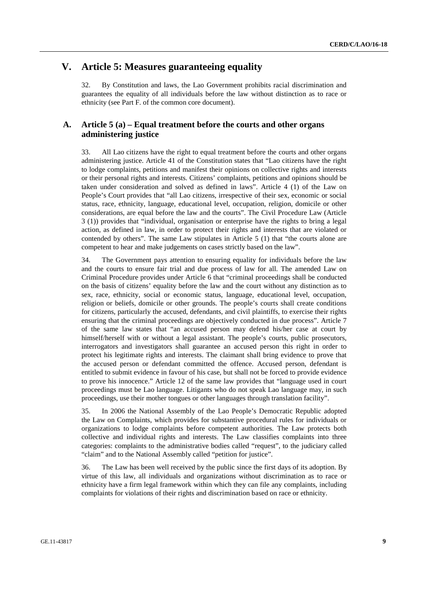## **V. Article 5: Measures guaranteeing equality**

32. By Constitution and laws, the Lao Government prohibits racial discrimination and guarantees the equality of all individuals before the law without distinction as to race or ethnicity (see Part F. of the common core document).

### **A. Article 5 (a) – Equal treatment before the courts and other organs administering justice**

33. All Lao citizens have the right to equal treatment before the courts and other organs administering justice. Article 41 of the Constitution states that "Lao citizens have the right to lodge complaints, petitions and manifest their opinions on collective rights and interests or their personal rights and interests. Citizens' complaints, petitions and opinions should be taken under consideration and solved as defined in laws". Article 4 (1) of the Law on People's Court provides that "all Lao citizens, irrespective of their sex, economic or social status, race, ethnicity, language, educational level, occupation, religion, domicile or other considerations, are equal before the law and the courts". The Civil Procedure Law (Article 3 (1)) provides that "individual, organisation or enterprise have the rights to bring a legal action, as defined in law, in order to protect their rights and interests that are violated or contended by others". The same Law stipulates in Article 5 (1) that "the courts alone are competent to hear and make judgements on cases strictly based on the law".

34. The Government pays attention to ensuring equality for individuals before the law and the courts to ensure fair trial and due process of law for all. The amended Law on Criminal Procedure provides under Article 6 that "criminal proceedings shall be conducted on the basis of citizens' equality before the law and the court without any distinction as to sex, race, ethnicity, social or economic status, language, educational level, occupation, religion or beliefs, domicile or other grounds. The people's courts shall create conditions for citizens, particularly the accused, defendants, and civil plaintiffs, to exercise their rights ensuring that the criminal proceedings are objectively conducted in due process". Article 7 of the same law states that "an accused person may defend his/her case at court by himself/herself with or without a legal assistant. The people's courts, public prosecutors, interrogators and investigators shall guarantee an accused person this right in order to protect his legitimate rights and interests. The claimant shall bring evidence to prove that the accused person or defendant committed the offence. Accused person, defendant is entitled to submit evidence in favour of his case, but shall not be forced to provide evidence to prove his innocence." Article 12 of the same law provides that "language used in court proceedings must be Lao language. Litigants who do not speak Lao language may, in such proceedings, use their mother tongues or other languages through translation facility".

35. In 2006 the National Assembly of the Lao People's Democratic Republic adopted the Law on Complaints, which provides for substantive procedural rules for individuals or organizations to lodge complaints before competent authorities. The Law protects both collective and individual rights and interests. The Law classifies complaints into three categories: complaints to the administrative bodies called "request", to the judiciary called "claim" and to the National Assembly called "petition for justice".

36. The Law has been well received by the public since the first days of its adoption. By virtue of this law, all individuals and organizations without discrimination as to race or ethnicity have a firm legal framework within which they can file any complaints, including complaints for violations of their rights and discrimination based on race or ethnicity.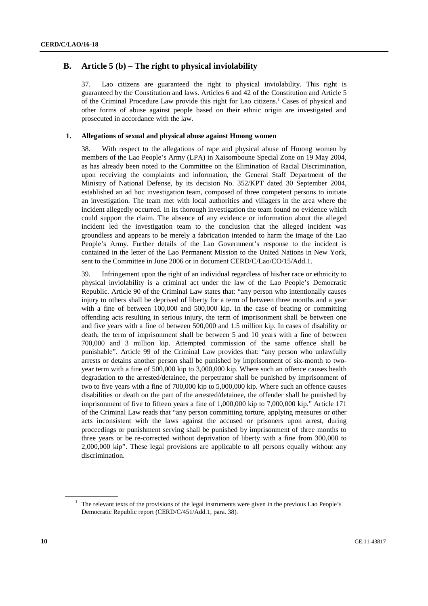## **B. Article 5 (b) – The right to physical inviolability**

37. Lao citizens are guaranteed the right to physical inviolability. This right is guaranteed by the Constitution and laws. Articles 6 and 42 of the Constitution and Article 5 of the Criminal Procedure Law provide this right for Lao citizens.<sup>1</sup> Cases of physical and other forms of abuse against people based on their ethnic origin are investigated and prosecuted in accordance with the law.

#### **1. Allegations of sexual and physical abuse against Hmong women**

38. With respect to the allegations of rape and physical abuse of Hmong women by members of the Lao People's Army (LPA) in Xaisomboune Special Zone on 19 May 2004, as has already been noted to the Committee on the Elimination of Racial Discrimination, upon receiving the complaints and information, the General Staff Department of the Ministry of National Defense, by its decision No. 352/KPT dated 30 September 2004, established an ad hoc investigation team, composed of three competent persons to initiate an investigation. The team met with local authorities and villagers in the area where the incident allegedly occurred. In its thorough investigation the team found no evidence which could support the claim. The absence of any evidence or information about the alleged incident led the investigation team to the conclusion that the alleged incident was groundless and appears to be merely a fabrication intended to harm the image of the Lao People's Army. Further details of the Lao Government's response to the incident is contained in the letter of the Lao Permanent Mission to the United Nations in New York, sent to the Committee in June 2006 or in document CERD/C/Lao/CO/15/Add.1.

39. Infringement upon the right of an individual regardless of his/her race or ethnicity to physical inviolability is a criminal act under the law of the Lao People's Democratic Republic. Article 90 of the Criminal Law states that: "any person who intentionally causes injury to others shall be deprived of liberty for a term of between three months and a year with a fine of between 100,000 and 500,000 kip. In the case of beating or committing offending acts resulting in serious injury, the term of imprisonment shall be between one and five years with a fine of between 500,000 and 1.5 million kip. In cases of disability or death, the term of imprisonment shall be between 5 and 10 years with a fine of between 700,000 and 3 million kip. Attempted commission of the same offence shall be punishable". Article 99 of the Criminal Law provides that: "any person who unlawfully arrests or detains another person shall be punished by imprisonment of six-month to twoyear term with a fine of 500,000 kip to 3,000,000 kip. Where such an offence causes health degradation to the arrested/detainee, the perpetrator shall be punished by imprisonment of two to five years with a fine of 700,000 kip to 5,000,000 kip. Where such an offence causes disabilities or death on the part of the arrested/detainee, the offender shall be punished by imprisonment of five to fifteen years a fine of 1,000,000 kip to 7,000,000 kip." Article 171 of the Criminal Law reads that "any person committing torture, applying measures or other acts inconsistent with the laws against the accused or prisoners upon arrest, during proceedings or punishment serving shall be punished by imprisonment of three months to three years or be re-corrected without deprivation of liberty with a fine from 300,000 to 2,000,000 kip". These legal provisions are applicable to all persons equally without any discrimination.

<sup>&</sup>lt;sup>1</sup> The relevant texts of the provisions of the legal instruments were given in the previous Lao People's Democratic Republic report (CERD/C/451/Add.1, para. 38).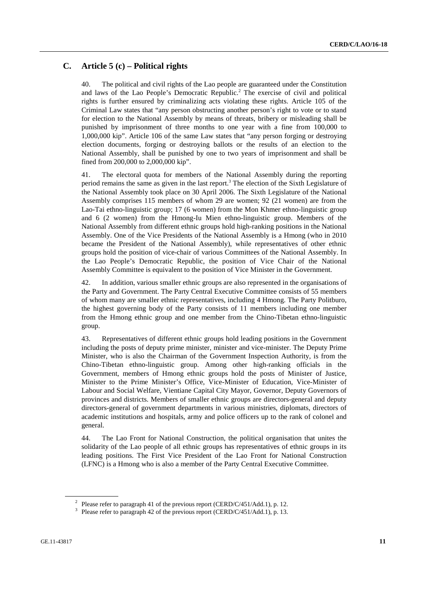### **C. Article 5 (c) – Political rights**

40. The political and civil rights of the Lao people are guaranteed under the Constitution and laws of the Lao People's Democratic Republic.<sup>2</sup> The exercise of civil and political rights is further ensured by criminalizing acts violating these rights. Article 105 of the Criminal Law states that "any person obstructing another person's right to vote or to stand for election to the National Assembly by means of threats, bribery or misleading shall be punished by imprisonment of three months to one year with a fine from 100,000 to 1,000,000 kip". Article 106 of the same Law states that "any person forging or destroying election documents, forging or destroying ballots or the results of an election to the National Assembly, shall be punished by one to two years of imprisonment and shall be fined from 200,000 to 2,000,000 kip".

41. The electoral quota for members of the National Assembly during the reporting period remains the same as given in the last report.<sup>3</sup> The election of the Sixth Legislature of the National Assembly took place on 30 April 2006. The Sixth Legislature of the National Assembly comprises 115 members of whom 29 are women; 92 (21 women) are from the Lao-Tai ethno-linguistic group; 17 (6 women) from the Mon Khmer ethno-linguistic group and 6 (2 women) from the Hmong-Iu Mien ethno-linguistic group. Members of the National Assembly from different ethnic groups hold high-ranking positions in the National Assembly. One of the Vice Presidents of the National Assembly is a Hmong (who in 2010 became the President of the National Assembly), while representatives of other ethnic groups hold the position of vice-chair of various Committees of the National Assembly. In the Lao People's Democratic Republic, the position of Vice Chair of the National Assembly Committee is equivalent to the position of Vice Minister in the Government.

42. In addition, various smaller ethnic groups are also represented in the organisations of the Party and Government. The Party Central Executive Committee consists of 55 members of whom many are smaller ethnic representatives, including 4 Hmong. The Party Politburo, the highest governing body of the Party consists of 11 members including one member from the Hmong ethnic group and one member from the Chino-Tibetan ethno-linguistic group.

43. Representatives of different ethnic groups hold leading positions in the Government including the posts of deputy prime minister, minister and vice-minister. The Deputy Prime Minister, who is also the Chairman of the Government Inspection Authority, is from the Chino-Tibetan ethno-linguistic group. Among other high-ranking officials in the Government, members of Hmong ethnic groups hold the posts of Minister of Justice, Minister to the Prime Minister's Office, Vice-Minister of Education, Vice-Minister of Labour and Social Welfare, Vientiane Capital City Mayor, Governor, Deputy Governors of provinces and districts. Members of smaller ethnic groups are directors-general and deputy directors-general of government departments in various ministries, diplomats, directors of academic institutions and hospitals, army and police officers up to the rank of colonel and general.

44. The Lao Front for National Construction, the political organisation that unites the solidarity of the Lao people of all ethnic groups has representatives of ethnic groups in its leading positions. The First Vice President of the Lao Front for National Construction (LFNC) is a Hmong who is also a member of the Party Central Executive Committee.

<sup>&</sup>lt;sup>2</sup> Please refer to paragraph 41 of the previous report (CERD/C/451/Add.1), p. 12.

<sup>&</sup>lt;sup>3</sup> Please refer to paragraph 42 of the previous report (CERD/C/451/Add.1), p. 13.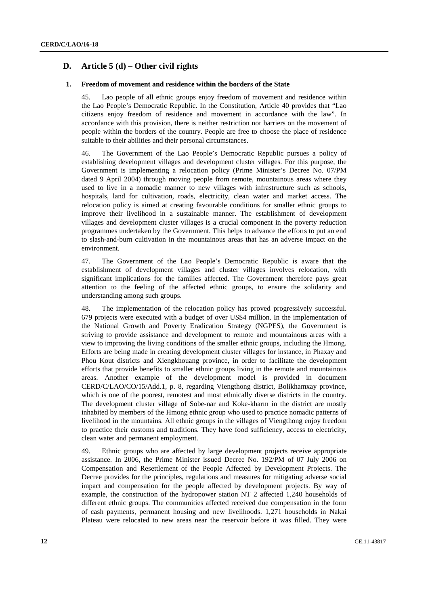## **D. Article 5 (d) – Other civil rights**

#### **1. Freedom of movement and residence within the borders of the State**

45. Lao people of all ethnic groups enjoy freedom of movement and residence within the Lao People's Democratic Republic. In the Constitution, Article 40 provides that "Lao citizens enjoy freedom of residence and movement in accordance with the law". In accordance with this provision, there is neither restriction nor barriers on the movement of people within the borders of the country. People are free to choose the place of residence suitable to their abilities and their personal circumstances.

46. The Government of the Lao People's Democratic Republic pursues a policy of establishing development villages and development cluster villages. For this purpose, the Government is implementing a relocation policy (Prime Minister's Decree No. 07/PM dated 9 April 2004) through moving people from remote, mountainous areas where they used to live in a nomadic manner to new villages with infrastructure such as schools, hospitals, land for cultivation, roads, electricity, clean water and market access. The relocation policy is aimed at creating favourable conditions for smaller ethnic groups to improve their livelihood in a sustainable manner. The establishment of development villages and development cluster villages is a crucial component in the poverty reduction programmes undertaken by the Government. This helps to advance the efforts to put an end to slash-and-burn cultivation in the mountainous areas that has an adverse impact on the environment.

47. The Government of the Lao People's Democratic Republic is aware that the establishment of development villages and cluster villages involves relocation, with significant implications for the families affected. The Government therefore pays great attention to the feeling of the affected ethnic groups, to ensure the solidarity and understanding among such groups.

48. The implementation of the relocation policy has proved progressively successful. 679 projects were executed with a budget of over US\$4 million. In the implementation of the National Growth and Poverty Eradication Strategy (NGPES), the Government is striving to provide assistance and development to remote and mountainous areas with a view to improving the living conditions of the smaller ethnic groups, including the Hmong. Efforts are being made in creating development cluster villages for instance, in Phaxay and Phou Kout districts and Xiengkhouang province, in order to facilitate the development efforts that provide benefits to smaller ethnic groups living in the remote and mountainous areas. Another example of the development model is provided in document CERD/C/LAO/CO/15/Add.1, p. 8, regarding Viengthong district, Bolikhamxay province, which is one of the poorest, remotest and most ethnically diverse districts in the country. The development cluster village of Sobe-nar and Koke-kharm in the district are mostly inhabited by members of the Hmong ethnic group who used to practice nomadic patterns of livelihood in the mountains. All ethnic groups in the villages of Viengthong enjoy freedom to practice their customs and traditions. They have food sufficiency, access to electricity, clean water and permanent employment.

49. Ethnic groups who are affected by large development projects receive appropriate assistance. In 2006, the Prime Minister issued Decree No. 192/PM of 07 July 2006 on Compensation and Resettlement of the People Affected by Development Projects. The Decree provides for the principles, regulations and measures for mitigating adverse social impact and compensation for the people affected by development projects. By way of example, the construction of the hydropower station NT 2 affected 1,240 households of different ethnic groups. The communities affected received due compensation in the form of cash payments, permanent housing and new livelihoods. 1,271 households in Nakai Plateau were relocated to new areas near the reservoir before it was filled. They were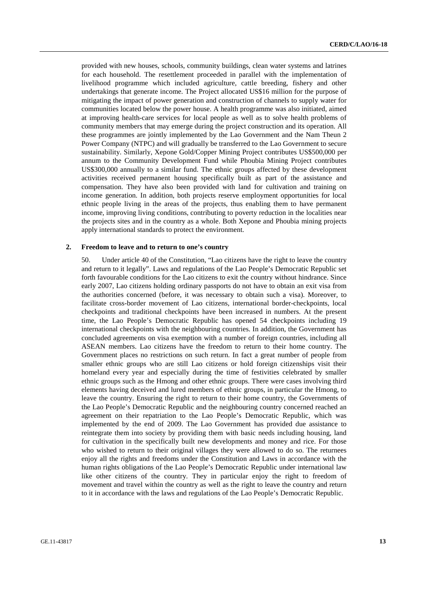provided with new houses, schools, community buildings, clean water systems and latrines for each household. The resettlement proceeded in parallel with the implementation of livelihood programme which included agriculture, cattle breeding, fishery and other undertakings that generate income. The Project allocated US\$16 million for the purpose of mitigating the impact of power generation and construction of channels to supply water for communities located below the power house. A health programme was also initiated, aimed at improving health-care services for local people as well as to solve health problems of community members that may emerge during the project construction and its operation. All these programmes are jointly implemented by the Lao Government and the Nam Theun 2 Power Company (NTPC) and will gradually be transferred to the Lao Government to secure sustainability. Similarly, Xepone Gold/Copper Mining Project contributes US\$500,000 per annum to the Community Development Fund while Phoubia Mining Project contributes US\$300,000 annually to a similar fund. The ethnic groups affected by these development activities received permanent housing specifically built as part of the assistance and compensation. They have also been provided with land for cultivation and training on income generation. In addition, both projects reserve employment opportunities for local ethnic people living in the areas of the projects, thus enabling them to have permanent income, improving living conditions, contributing to poverty reduction in the localities near the projects sites and in the country as a whole. Both Xepone and Phoubia mining projects apply international standards to protect the environment.

#### **2. Freedom to leave and to return to one's country**

50. Under article 40 of the Constitution, "Lao citizens have the right to leave the country and return to it legally". Laws and regulations of the Lao People's Democratic Republic set forth favourable conditions for the Lao citizens to exit the country without hindrance. Since early 2007, Lao citizens holding ordinary passports do not have to obtain an exit visa from the authorities concerned (before, it was necessary to obtain such a visa). Moreover, to facilitate cross-border movement of Lao citizens, international border-checkpoints, local checkpoints and traditional checkpoints have been increased in numbers. At the present time, the Lao People's Democratic Republic has opened 54 checkpoints including 19 international checkpoints with the neighbouring countries. In addition, the Government has concluded agreements on visa exemption with a number of foreign countries, including all ASEAN members. Lao citizens have the freedom to return to their home country. The Government places no restrictions on such return. In fact a great number of people from smaller ethnic groups who are still Lao citizens or hold foreign citizenships visit their homeland every year and especially during the time of festivities celebrated by smaller ethnic groups such as the Hmong and other ethnic groups. There were cases involving third elements having deceived and lured members of ethnic groups, in particular the Hmong, to leave the country. Ensuring the right to return to their home country, the Governments of the Lao People's Democratic Republic and the neighbouring country concerned reached an agreement on their repatriation to the Lao People's Democratic Republic, which was implemented by the end of 2009. The Lao Government has provided due assistance to reintegrate them into society by providing them with basic needs including housing, land for cultivation in the specifically built new developments and money and rice. For those who wished to return to their original villages they were allowed to do so. The returnees enjoy all the rights and freedoms under the Constitution and Laws in accordance with the human rights obligations of the Lao People's Democratic Republic under international law like other citizens of the country. They in particular enjoy the right to freedom of movement and travel within the country as well as the right to leave the country and return to it in accordance with the laws and regulations of the Lao People's Democratic Republic.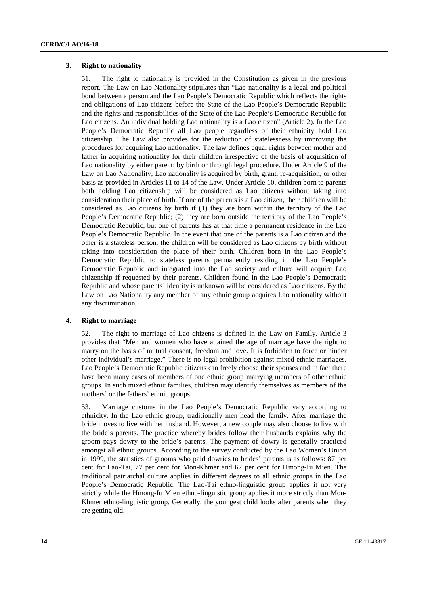#### **3. Right to nationality**

51. The right to nationality is provided in the Constitution as given in the previous report. The Law on Lao Nationality stipulates that "Lao nationality is a legal and political bond between a person and the Lao People's Democratic Republic which reflects the rights and obligations of Lao citizens before the State of the Lao People's Democratic Republic and the rights and responsibilities of the State of the Lao People's Democratic Republic for Lao citizens. An individual holding Lao nationality is a Lao citizen" (Article 2). In the Lao People's Democratic Republic all Lao people regardless of their ethnicity hold Lao citizenship. The Law also provides for the reduction of statelessness by improving the procedures for acquiring Lao nationality. The law defines equal rights between mother and father in acquiring nationality for their children irrespective of the basis of acquisition of Lao nationality by either parent: by birth or through legal procedure. Under Article 9 of the Law on Lao Nationality, Lao nationality is acquired by birth, grant, re-acquisition, or other basis as provided in Articles 11 to 14 of the Law. Under Article 10, children born to parents both holding Lao citizenship will be considered as Lao citizens without taking into consideration their place of birth. If one of the parents is a Lao citizen, their children will be considered as Lao citizens by birth if (1) they are born within the territory of the Lao People's Democratic Republic; (2) they are born outside the territory of the Lao People's Democratic Republic, but one of parents has at that time a permanent residence in the Lao People's Democratic Republic. In the event that one of the parents is a Lao citizen and the other is a stateless person, the children will be considered as Lao citizens by birth without taking into consideration the place of their birth. Children born in the Lao People's Democratic Republic to stateless parents permanently residing in the Lao People's Democratic Republic and integrated into the Lao society and culture will acquire Lao citizenship if requested by their parents. Children found in the Lao People's Democratic Republic and whose parents' identity is unknown will be considered as Lao citizens. By the Law on Lao Nationality any member of any ethnic group acquires Lao nationality without any discrimination.

### **4. Right to marriage**

52. The right to marriage of Lao citizens is defined in the Law on Family. Article 3 provides that "Men and women who have attained the age of marriage have the right to marry on the basis of mutual consent, freedom and love. It is forbidden to force or hinder other individual's marriage." There is no legal prohibition against mixed ethnic marriages. Lao People's Democratic Republic citizens can freely choose their spouses and in fact there have been many cases of members of one ethnic group marrying members of other ethnic groups. In such mixed ethnic families, children may identify themselves as members of the mothers' or the fathers' ethnic groups.

53. Marriage customs in the Lao People's Democratic Republic vary according to ethnicity. In the Lao ethnic group, traditionally men head the family. After marriage the bride moves to live with her husband. However, a new couple may also choose to live with the bride's parents. The practice whereby brides follow their husbands explains why the groom pays dowry to the bride's parents. The payment of dowry is generally practiced amongst all ethnic groups. According to the survey conducted by the Lao Women's Union in 1999, the statistics of grooms who paid dowries to brides' parents is as follows: 87 per cent for Lao-Tai, 77 per cent for Mon-Khmer and 67 per cent for Hmong-Iu Mien. The traditional patriarchal culture applies in different degrees to all ethnic groups in the Lao People's Democratic Republic. The Lao-Tai ethno-linguistic group applies it not very strictly while the Hmong-Iu Mien ethno-linguistic group applies it more strictly than Mon-Khmer ethno-linguistic group. Generally, the youngest child looks after parents when they are getting old.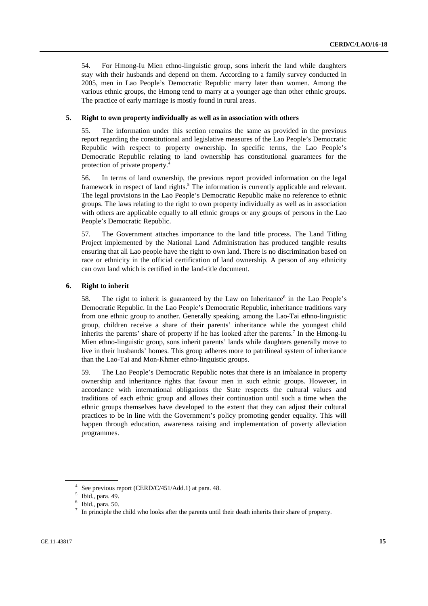54. For Hmong-Iu Mien ethno-linguistic group, sons inherit the land while daughters stay with their husbands and depend on them. According to a family survey conducted in 2005, men in Lao People's Democratic Republic marry later than women. Among the various ethnic groups, the Hmong tend to marry at a younger age than other ethnic groups. The practice of early marriage is mostly found in rural areas.

#### **5. Right to own property individually as well as in association with others**

55. The information under this section remains the same as provided in the previous report regarding the constitutional and legislative measures of the Lao People's Democratic Republic with respect to property ownership. In specific terms, the Lao People's Democratic Republic relating to land ownership has constitutional guarantees for the protection of private property.4

56. In terms of land ownership, the previous report provided information on the legal framework in respect of land rights.<sup>5</sup> The information is currently applicable and relevant. The legal provisions in the Lao People's Democratic Republic make no reference to ethnic groups. The laws relating to the right to own property individually as well as in association with others are applicable equally to all ethnic groups or any groups of persons in the Lao People's Democratic Republic.

57. The Government attaches importance to the land title process. The Land Titling Project implemented by the National Land Administration has produced tangible results ensuring that all Lao people have the right to own land. There is no discrimination based on race or ethnicity in the official certification of land ownership. A person of any ethnicity can own land which is certified in the land-title document.

#### **6. Right to inherit**

58. The right to inherit is guaranteed by the Law on Inheritance<sup>6</sup> in the Lao People's Democratic Republic. In the Lao People's Democratic Republic, inheritance traditions vary from one ethnic group to another. Generally speaking, among the Lao-Tai ethno-linguistic group, children receive a share of their parents' inheritance while the youngest child inherits the parents' share of property if he has looked after the parents.<sup>7</sup> In the Hmong-Iu Mien ethno-linguistic group, sons inherit parents' lands while daughters generally move to live in their husbands' homes. This group adheres more to patrilineal system of inheritance than the Lao-Tai and Mon-Khmer ethno-linguistic groups.

59. The Lao People's Democratic Republic notes that there is an imbalance in property ownership and inheritance rights that favour men in such ethnic groups. However, in accordance with international obligations the State respects the cultural values and traditions of each ethnic group and allows their continuation until such a time when the ethnic groups themselves have developed to the extent that they can adjust their cultural practices to be in line with the Government's policy promoting gender equality. This will happen through education, awareness raising and implementation of poverty alleviation programmes.

<sup>&</sup>lt;sup>4</sup> See previous report (CERD/C/451/Add.1) at para. 48. 5

Ibid., para. 49.

<sup>6</sup> Ibid., para. 50.

 $<sup>7</sup>$  In principle the child who looks after the parents until their death inherits their share of property.</sup>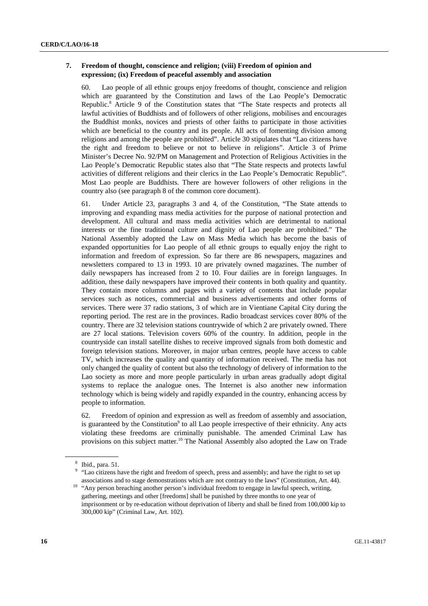#### **7. Freedom of thought, conscience and religion; (viii) Freedom of opinion and expression; (ix) Freedom of peaceful assembly and association**

60. Lao people of all ethnic groups enjoy freedoms of thought, conscience and religion which are guaranteed by the Constitution and laws of the Lao People's Democratic Republic.<sup>8</sup> Article 9 of the Constitution states that "The State respects and protects all lawful activities of Buddhists and of followers of other religions, mobilises and encourages the Buddhist monks, novices and priests of other faiths to participate in those activities which are beneficial to the country and its people. All acts of fomenting division among religions and among the people are prohibited". Article 30 stipulates that "Lao citizens have the right and freedom to believe or not to believe in religions". Article 3 of Prime Minister's Decree No. 92/PM on Management and Protection of Religious Activities in the Lao People's Democratic Republic states also that "The State respects and protects lawful activities of different religions and their clerics in the Lao People's Democratic Republic". Most Lao people are Buddhists. There are however followers of other religions in the country also (see paragraph 8 of the common core document).

61. Under Article 23, paragraphs 3 and 4, of the Constitution, "The State attends to improving and expanding mass media activities for the purpose of national protection and development. All cultural and mass media activities which are detrimental to national interests or the fine traditional culture and dignity of Lao people are prohibited." The National Assembly adopted the Law on Mass Media which has become the basis of expanded opportunities for Lao people of all ethnic groups to equally enjoy the right to information and freedom of expression. So far there are 86 newspapers, magazines and newsletters compared to 13 in 1993. 10 are privately owned magazines. The number of daily newspapers has increased from 2 to 10. Four dailies are in foreign languages. In addition, these daily newspapers have improved their contents in both quality and quantity. They contain more columns and pages with a variety of contents that include popular services such as notices, commercial and business advertisements and other forms of services. There were 37 radio stations, 3 of which are in Vientiane Capital City during the reporting period. The rest are in the provinces. Radio broadcast services cover 80% of the country. There are 32 television stations countrywide of which 2 are privately owned. There are 27 local stations. Television covers 60% of the country. In addition, people in the countryside can install satellite dishes to receive improved signals from both domestic and foreign television stations. Moreover, in major urban centres, people have access to cable TV, which increases the quality and quantity of information received. The media has not only changed the quality of content but also the technology of delivery of information to the Lao society as more and more people particularly in urban areas gradually adopt digital systems to replace the analogue ones. The Internet is also another new information technology which is being widely and rapidly expanded in the country, enhancing access by people to information.

62. Freedom of opinion and expression as well as freedom of assembly and association, is guaranteed by the Constitution<sup>9</sup> to all Lao people irrespective of their ethnicity. Any acts violating these freedoms are criminally punishable. The amended Criminal Law has provisions on this subject matter.<sup>10</sup> The National Assembly also adopted the Law on Trade

<sup>8</sup> Ibid., para. 51.

<sup>&</sup>lt;sup>9</sup> "Lao citizens have the right and freedom of speech, press and assembly; and have the right to set up associations and to stage demonstrations which are not contrary to the laws" (Constitution, Art. 44). 10 "Any person breaching another person's individual freedom to engage in lawful speech, writing,

gathering, meetings and other [freedoms] shall be punished by three months to one year of imprisonment or by re-education without deprivation of liberty and shall be fined from 100,000 kip to 300,000 kip" (Criminal Law, Art. 102).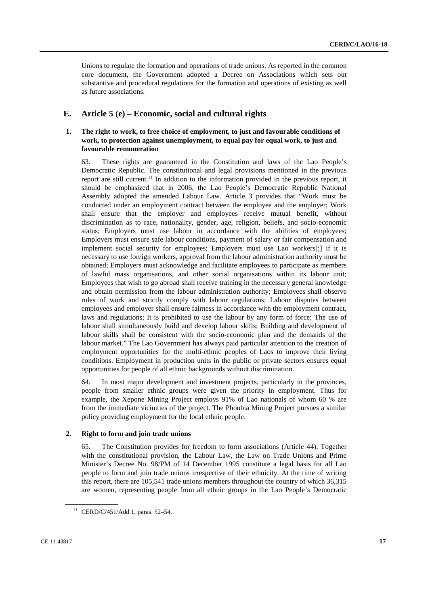Unions to regulate the formation and operations of trade unions. As reported in the common core document, the Government adopted a Decree on Associations which sets out substantive and procedural regulations for the formation and operations of existing as well as future associations.

### **E. Article 5 (e) – Economic, social and cultural rights**

### **1. The right to work, to free choice of employment, to just and favourable conditions of work, to protection against unemployment, to equal pay for equal work, to just and favourable remuneration**

63. These rights are guaranteed in the Constitution and laws of the Lao People's Democratic Republic. The constitutional and legal provisions mentioned in the previous report are still current.<sup>11</sup> In addition to the information provided in the previous report, it should be emphasized that in 2006, the Lao People's Democratic Republic National Assembly adopted the amended Labour Law. Article 3 provides that "Work must be conducted under an employment contract between the employee and the employer; Work shall ensure that the employer and employees receive mutual benefit, without discrimination as to race, nationality, gender, age, religion, beliefs, and socio-economic status; Employers must use labour in accordance with the abilities of employees; Employers must ensure safe labour conditions, payment of salary or fair compensation and implement social security for employees; Employers must use Lao workers[;] if it is necessary to use foreign workers, approval from the labour administration authority must be obtained; Employers must acknowledge and facilitate employees to participate as members of lawful mass organisations, and other social organisations within its labour unit; Employees that wish to go abroad shall receive training in the necessary general knowledge and obtain permission from the labour administration authority; Employees shall observe rules of work and strictly comply with labour regulations; Labour disputes between employees and employer shall ensure fairness in accordance with the employment contract, laws and regulations; It is prohibited to use the labour by any form of force; The use of labour shall simultaneously build and develop labour skills; Building and development of labour skills shall be consistent with the socio-economic plan and the demands of the labour market." The Lao Government has always paid particular attention to the creation of employment opportunities for the multi-ethnic peoples of Laos to improve their living conditions. Employment in production units in the public or private sectors ensures equal opportunities for people of all ethnic backgrounds without discrimination.

64. In most major development and investment projects, particularly in the provinces, people from smaller ethnic groups were given the priority in employment. Thus for example, the Xepone Mining Project employs 91% of Lao nationals of whom 60 % are from the immediate vicinities of the project. The Phoubia Mining Project pursues a similar policy providing employment for the local ethnic people.

#### **2. Right to form and join trade unions**

65. The Constitution provides for freedom to form associations (Article 44). Together with the constitutional provision, the Labour Law, the Law on Trade Unions and Prime Minister's Decree No. 98/PM of 14 December 1995 constitute a legal basis for all Lao people to form and join trade unions irrespective of their ethnicity. At the time of writing this report, there are 105,541 trade unions members throughout the country of which 36,315 are women, representing people from all ethnic groups in the Lao People's Democratic

<sup>11</sup> CERD/C/451/Add.1, paras. 52–54.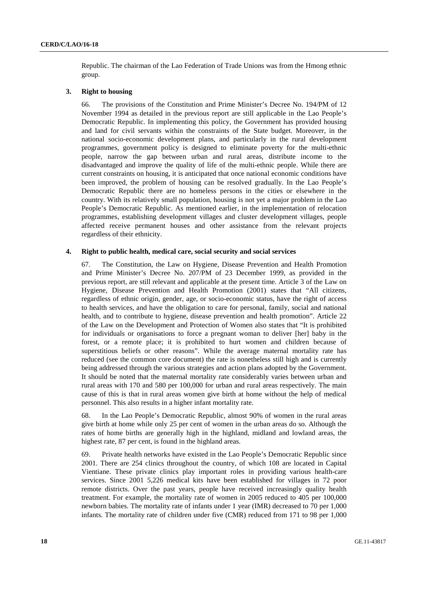Republic. The chairman of the Lao Federation of Trade Unions was from the Hmong ethnic group.

#### **3. Right to housing**

66. The provisions of the Constitution and Prime Minister's Decree No. 194/PM of 12 November 1994 as detailed in the previous report are still applicable in the Lao People's Democratic Republic. In implementing this policy, the Government has provided housing and land for civil servants within the constraints of the State budget. Moreover, in the national socio-economic development plans, and particularly in the rural development programmes, government policy is designed to eliminate poverty for the multi-ethnic people, narrow the gap between urban and rural areas, distribute income to the disadvantaged and improve the quality of life of the multi-ethnic people. While there are current constraints on housing, it is anticipated that once national economic conditions have been improved, the problem of housing can be resolved gradually. In the Lao People's Democratic Republic there are no homeless persons in the cities or elsewhere in the country. With its relatively small population, housing is not yet a major problem in the Lao People's Democratic Republic. As mentioned earlier, in the implementation of relocation programmes, establishing development villages and cluster development villages, people affected receive permanent houses and other assistance from the relevant projects regardless of their ethnicity.

#### **4. Right to public health, medical care, social security and social services**

67. The Constitution, the Law on Hygiene, Disease Prevention and Health Promotion and Prime Minister's Decree No. 207/PM of 23 December 1999, as provided in the previous report, are still relevant and applicable at the present time. Article 3 of the Law on Hygiene, Disease Prevention and Health Promotion (2001) states that "All citizens, regardless of ethnic origin, gender, age, or socio-economic status, have the right of access to health services, and have the obligation to care for personal, family, social and national health, and to contribute to hygiene, disease prevention and health promotion". Article 22 of the Law on the Development and Protection of Women also states that "It is prohibited for individuals or organisations to force a pregnant woman to deliver [her] baby in the forest, or a remote place; it is prohibited to hurt women and children because of superstitious beliefs or other reasons". While the average maternal mortality rate has reduced (see the common core document) the rate is nonetheless still high and is currently being addressed through the various strategies and action plans adopted by the Government. It should be noted that the maternal mortality rate considerably varies between urban and rural areas with 170 and 580 per 100,000 for urban and rural areas respectively. The main cause of this is that in rural areas women give birth at home without the help of medical personnel. This also results in a higher infant mortality rate.

68. In the Lao People's Democratic Republic, almost 90% of women in the rural areas give birth at home while only 25 per cent of women in the urban areas do so. Although the rates of home births are generally high in the highland, midland and lowland areas, the highest rate, 87 per cent, is found in the highland areas.

69. Private health networks have existed in the Lao People's Democratic Republic since 2001. There are 254 clinics throughout the country, of which 108 are located in Capital Vientiane. These private clinics play important roles in providing various health-care services. Since 2001 5,226 medical kits have been established for villages in 72 poor remote districts. Over the past years, people have received increasingly quality health treatment. For example, the mortality rate of women in 2005 reduced to 405 per 100,000 newborn babies. The mortality rate of infants under 1 year (IMR) decreased to 70 per 1,000 infants. The mortality rate of children under five (CMR) reduced from 171 to 98 per 1,000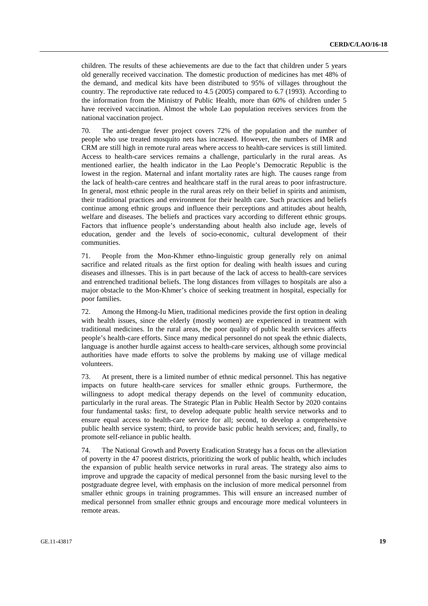children. The results of these achievements are due to the fact that children under 5 years old generally received vaccination. The domestic production of medicines has met 48% of the demand, and medical kits have been distributed to 95% of villages throughout the country. The reproductive rate reduced to 4.5 (2005) compared to 6.7 (1993). According to the information from the Ministry of Public Health, more than 60% of children under 5 have received vaccination. Almost the whole Lao population receives services from the national vaccination project.

70. The anti-dengue fever project covers 72% of the population and the number of people who use treated mosquito nets has increased. However, the numbers of IMR and CRM are still high in remote rural areas where access to health-care services is still limited. Access to health-care services remains a challenge, particularly in the rural areas. As mentioned earlier, the health indicator in the Lao People's Democratic Republic is the lowest in the region. Maternal and infant mortality rates are high. The causes range from the lack of health-care centres and healthcare staff in the rural areas to poor infrastructure. In general, most ethnic people in the rural areas rely on their belief in spirits and animism, their traditional practices and environment for their health care. Such practices and beliefs continue among ethnic groups and influence their perceptions and attitudes about health, welfare and diseases. The beliefs and practices vary according to different ethnic groups. Factors that influence people's understanding about health also include age, levels of education, gender and the levels of socio-economic, cultural development of their communities.

71. People from the Mon-Khmer ethno-linguistic group generally rely on animal sacrifice and related rituals as the first option for dealing with health issues and curing diseases and illnesses. This is in part because of the lack of access to health-care services and entrenched traditional beliefs. The long distances from villages to hospitals are also a major obstacle to the Mon-Khmer's choice of seeking treatment in hospital, especially for poor families.

72. Among the Hmong-Iu Mien, traditional medicines provide the first option in dealing with health issues, since the elderly (mostly women) are experienced in treatment with traditional medicines. In the rural areas, the poor quality of public health services affects people's health-care efforts. Since many medical personnel do not speak the ethnic dialects, language is another hurdle against access to health-care services, although some provincial authorities have made efforts to solve the problems by making use of village medical volunteers.

73. At present, there is a limited number of ethnic medical personnel. This has negative impacts on future health-care services for smaller ethnic groups. Furthermore, the willingness to adopt medical therapy depends on the level of community education, particularly in the rural areas. The Strategic Plan in Public Health Sector by 2020 contains four fundamental tasks: first, to develop adequate public health service networks and to ensure equal access to health-care service for all; second, to develop a comprehensive public health service system; third, to provide basic public health services; and, finally, to promote self-reliance in public health.

74. The National Growth and Poverty Eradication Strategy has a focus on the alleviation of poverty in the 47 poorest districts, prioritizing the work of public health, which includes the expansion of public health service networks in rural areas. The strategy also aims to improve and upgrade the capacity of medical personnel from the basic nursing level to the postgraduate degree level, with emphasis on the inclusion of more medical personnel from smaller ethnic groups in training programmes. This will ensure an increased number of medical personnel from smaller ethnic groups and encourage more medical volunteers in remote areas.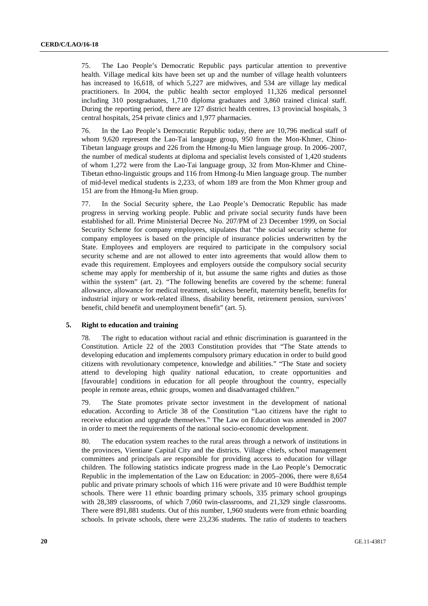75. The Lao People's Democratic Republic pays particular attention to preventive health. Village medical kits have been set up and the number of village health volunteers has increased to 16,618, of which 5,227 are midwives, and 534 are village lay medical practitioners. In 2004, the public health sector employed 11,326 medical personnel including 310 postgraduates, 1,710 diploma graduates and 3,860 trained clinical staff. During the reporting period, there are 127 district health centres, 13 provincial hospitals, 3 central hospitals, 254 private clinics and 1,977 pharmacies.

76. In the Lao People's Democratic Republic today, there are 10,796 medical staff of whom 9,620 represent the Lao-Tai language group, 950 from the Mon-Khmer, Chino-Tibetan language groups and 226 from the Hmong-Iu Mien language group. In 2006–2007, the number of medical students at diploma and specialist levels consisted of 1,420 students of whom 1,272 were from the Lao-Tai language group, 32 from Mon-Khmer and Chine-Tibetan ethno-linguistic groups and 116 from Hmong-Iu Mien language group. The number of mid-level medical students is 2,233, of whom 189 are from the Mon Khmer group and 151 are from the Hmong-Iu Mien group.

77. In the Social Security sphere, the Lao People's Democratic Republic has made progress in serving working people. Public and private social security funds have been established for all. Prime Ministerial Decree No. 207/PM of 23 December 1999, on Social Security Scheme for company employees, stipulates that "the social security scheme for company employees is based on the principle of insurance policies underwritten by the State. Employees and employers are required to participate in the compulsory social security scheme and are not allowed to enter into agreements that would allow them to evade this requirement. Employees and employers outside the compulsory social security scheme may apply for membership of it, but assume the same rights and duties as those within the system" (art. 2). "The following benefits are covered by the scheme: funeral allowance, allowance for medical treatment, sickness benefit, maternity benefit, benefits for industrial injury or work-related illness, disability benefit, retirement pension, survivors' benefit, child benefit and unemployment benefit" (art. 5).

#### **5. Right to education and training**

78. The right to education without racial and ethnic discrimination is guaranteed in the Constitution. Article 22 of the 2003 Constitution provides that "The State attends to developing education and implements compulsory primary education in order to build good citizens with revolutionary competence, knowledge and abilities." "The State and society attend to developing high quality national education, to create opportunities and [favourable] conditions in education for all people throughout the country, especially people in remote areas, ethnic groups, women and disadvantaged children."

79. The State promotes private sector investment in the development of national education. According to Article 38 of the Constitution "Lao citizens have the right to receive education and upgrade themselves." The Law on Education was amended in 2007 in order to meet the requirements of the national socio-economic development.

80. The education system reaches to the rural areas through a network of institutions in the provinces, Vientiane Capital City and the districts. Village chiefs, school management committees and principals are responsible for providing access to education for village children. The following statistics indicate progress made in the Lao People's Democratic Republic in the implementation of the Law on Education: in 2005–2006, there were 8,654 public and private primary schools of which 116 were private and 10 were Buddhist temple schools. There were 11 ethnic boarding primary schools, 335 primary school groupings with 28,389 classrooms, of which 7,060 twin-classrooms, and 21,329 single classrooms. There were 891,881 students. Out of this number, 1,960 students were from ethnic boarding schools. In private schools, there were 23,236 students. The ratio of students to teachers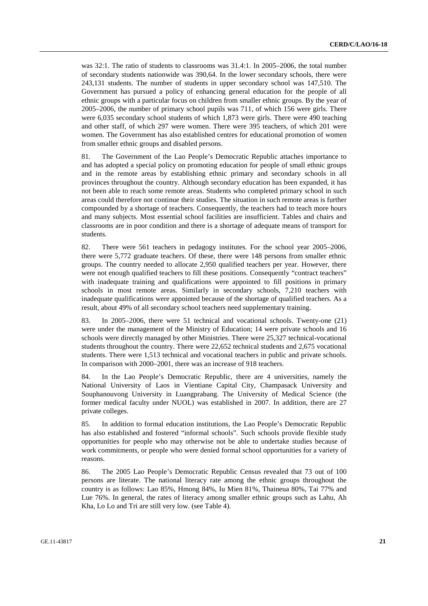was 32:1. The ratio of students to classrooms was 31.4:1. In 2005–2006, the total number of secondary students nationwide was 390,64. In the lower secondary schools, there were 243,131 students. The number of students in upper secondary school was 147,510. The Government has pursued a policy of enhancing general education for the people of all ethnic groups with a particular focus on children from smaller ethnic groups. By the year of 2005–2006, the number of primary school pupils was 711, of which 156 were girls. There were 6,035 secondary school students of which 1,873 were girls. There were 490 teaching and other staff, of which 297 were women. There were 395 teachers, of which 201 were women. The Government has also established centres for educational promotion of women from smaller ethnic groups and disabled persons.

81. The Government of the Lao People's Democratic Republic attaches importance to and has adopted a special policy on promoting education for people of small ethnic groups and in the remote areas by establishing ethnic primary and secondary schools in all provinces throughout the country. Although secondary education has been expanded, it has not been able to reach some remote areas. Students who completed primary school in such areas could therefore not continue their studies. The situation in such remote areas is further compounded by a shortage of teachers. Consequently, the teachers had to teach more hours and many subjects. Most essential school facilities are insufficient. Tables and chairs and classrooms are in poor condition and there is a shortage of adequate means of transport for students.

82. There were 561 teachers in pedagogy institutes. For the school year 2005–2006, there were 5,772 graduate teachers. Of these, there were 148 persons from smaller ethnic groups. The country needed to allocate 2,950 qualified teachers per year. However, there were not enough qualified teachers to fill these positions. Consequently "contract teachers" with inadequate training and qualifications were appointed to fill positions in primary schools in most remote areas. Similarly in secondary schools, 7,210 teachers with inadequate qualifications were appointed because of the shortage of qualified teachers. As a result, about 49% of all secondary school teachers need supplementary training.

83. In 2005–2006, there were 51 technical and vocational schools. Twenty-one (21) were under the management of the Ministry of Education; 14 were private schools and 16 schools were directly managed by other Ministries. There were 25,327 technical-vocational students throughout the country. There were 22,652 technical students and 2,675 vocational students. There were 1,513 technical and vocational teachers in public and private schools. In comparison with 2000–2001, there was an increase of 918 teachers.

84. In the Lao People's Democratic Republic, there are 4 universities, namely the National University of Laos in Vientiane Capital City, Champasack University and Souphanouvong University in Luangprabang. The University of Medical Science (the former medical faculty under NUOL) was established in 2007. In addition, there are 27 private colleges.

85. In addition to formal education institutions, the Lao People's Democratic Republic has also established and fostered "informal schools". Such schools provide flexible study opportunities for people who may otherwise not be able to undertake studies because of work commitments, or people who were denied formal school opportunities for a variety of reasons.

86. The 2005 Lao People's Democratic Republic Census revealed that 73 out of 100 persons are literate. The national literacy rate among the ethnic groups throughout the country is as follows: Lao 85%, Hmong 84%, Iu Mien 81%, Thaineua 80%, Tai 77% and Lue 76%. In general, the rates of literacy among smaller ethnic groups such as Lahu, Ah Kha, Lo Lo and Tri are still very low. (see Table 4).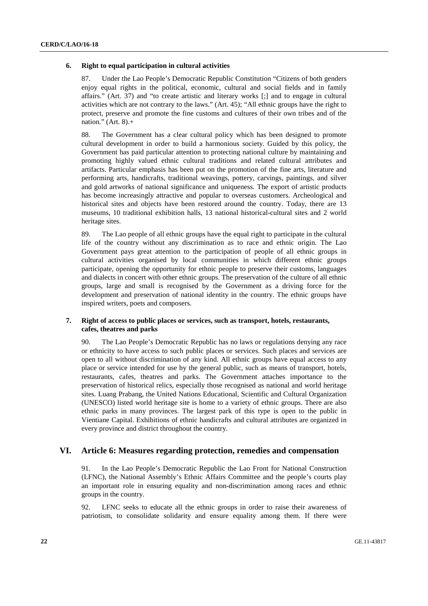#### **6. Right to equal participation in cultural activities**

87. Under the Lao People's Democratic Republic Constitution "Citizens of both genders enjoy equal rights in the political, economic, cultural and social fields and in family affairs." (Art. 37) and "to create artistic and literary works [;] and to engage in cultural activities which are not contrary to the laws." (Art. 45); "All ethnic groups have the right to protect, preserve and promote the fine customs and cultures of their own tribes and of the nation." (Art.  $8$ ).+

88. The Government has a clear cultural policy which has been designed to promote cultural development in order to build a harmonious society. Guided by this policy, the Government has paid particular attention to protecting national culture by maintaining and promoting highly valued ethnic cultural traditions and related cultural attributes and artifacts. Particular emphasis has been put on the promotion of the fine arts, literature and performing arts, handicrafts, traditional weavings, pottery, carvings, paintings, and silver and gold artworks of national significance and uniqueness. The export of artistic products has become increasingly attractive and popular to overseas customers. Archeological and historical sites and objects have been restored around the country. Today, there are 13 museums, 10 traditional exhibition halls, 13 national historical-cultural sites and 2 world heritage sites.

89. The Lao people of all ethnic groups have the equal right to participate in the cultural life of the country without any discrimination as to race and ethnic origin. The Lao Government pays great attention to the participation of people of all ethnic groups in cultural activities organised by local communities in which different ethnic groups participate, opening the opportunity for ethnic people to preserve their customs, languages and dialects in concert with other ethnic groups. The preservation of the culture of all ethnic groups, large and small is recognised by the Government as a driving force for the development and preservation of national identity in the country. The ethnic groups have inspired writers, poets and composers.

#### **7. Right of access to public places or services, such as transport, hotels, restaurants, cafes, theatres and parks**

90. The Lao People's Democratic Republic has no laws or regulations denying any race or ethnicity to have access to such public places or services. Such places and services are open to all without discrimination of any kind. All ethnic groups have equal access to any place or service intended for use by the general public, such as means of transport, hotels, restaurants, cafes, theatres and parks. The Government attaches importance to the preservation of historical relics, especially those recognised as national and world heritage sites. Luang Prabang, the United Nations Educational, Scientific and Cultural Organization (UNESCO) listed world heritage site is home to a variety of ethnic groups. There are also ethnic parks in many provinces. The largest park of this type is open to the public in Vientiane Capital. Exhibitions of ethnic handicrafts and cultural attributes are organized in every province and district throughout the country.

### **VI. Article 6: Measures regarding protection, remedies and compensation**

91. In the Lao People's Democratic Republic the Lao Front for National Construction (LFNC), the National Assembly's Ethnic Affairs Committee and the people's courts play an important role in ensuring equality and non-discrimination among races and ethnic groups in the country.

92. LFNC seeks to educate all the ethnic groups in order to raise their awareness of patriotism, to consolidate solidarity and ensure equality among them. If there were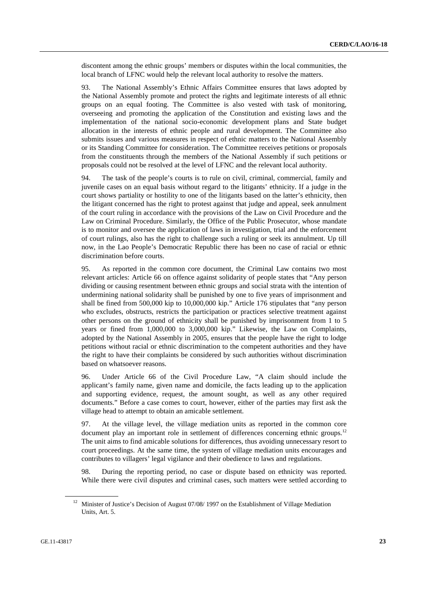discontent among the ethnic groups' members or disputes within the local communities, the local branch of LFNC would help the relevant local authority to resolve the matters.

93. The National Assembly's Ethnic Affairs Committee ensures that laws adopted by the National Assembly promote and protect the rights and legitimate interests of all ethnic groups on an equal footing. The Committee is also vested with task of monitoring, overseeing and promoting the application of the Constitution and existing laws and the implementation of the national socio-economic development plans and State budget allocation in the interests of ethnic people and rural development. The Committee also submits issues and various measures in respect of ethnic matters to the National Assembly or its Standing Committee for consideration. The Committee receives petitions or proposals from the constituents through the members of the National Assembly if such petitions or proposals could not be resolved at the level of LFNC and the relevant local authority.

94. The task of the people's courts is to rule on civil, criminal, commercial, family and juvenile cases on an equal basis without regard to the litigants' ethnicity. If a judge in the court shows partiality or hostility to one of the litigants based on the latter's ethnicity, then the litigant concerned has the right to protest against that judge and appeal, seek annulment of the court ruling in accordance with the provisions of the Law on Civil Procedure and the Law on Criminal Procedure. Similarly, the Office of the Public Prosecutor, whose mandate is to monitor and oversee the application of laws in investigation, trial and the enforcement of court rulings, also has the right to challenge such a ruling or seek its annulment. Up till now, in the Lao People's Democratic Republic there has been no case of racial or ethnic discrimination before courts.

95. As reported in the common core document, the Criminal Law contains two most relevant articles: Article 66 on offence against solidarity of people states that "Any person dividing or causing resentment between ethnic groups and social strata with the intention of undermining national solidarity shall be punished by one to five years of imprisonment and shall be fined from 500,000 kip to 10,000,000 kip." Article 176 stipulates that "any person who excludes, obstructs, restricts the participation or practices selective treatment against other persons on the ground of ethnicity shall be punished by imprisonment from 1 to 5 years or fined from 1,000,000 to 3,000,000 kip." Likewise, the Law on Complaints, adopted by the National Assembly in 2005, ensures that the people have the right to lodge petitions without racial or ethnic discrimination to the competent authorities and they have the right to have their complaints be considered by such authorities without discrimination based on whatsoever reasons.

96. Under Article 66 of the Civil Procedure Law, "A claim should include the applicant's family name, given name and domicile, the facts leading up to the application and supporting evidence, request, the amount sought, as well as any other required documents." Before a case comes to court, however, either of the parties may first ask the village head to attempt to obtain an amicable settlement.

97. At the village level, the village mediation units as reported in the common core document play an important role in settlement of differences concerning ethnic groups.<sup>12</sup> The unit aims to find amicable solutions for differences, thus avoiding unnecessary resort to court proceedings. At the same time, the system of village mediation units encourages and contributes to villagers' legal vigilance and their obedience to laws and regulations.

98. During the reporting period, no case or dispute based on ethnicity was reported. While there were civil disputes and criminal cases, such matters were settled according to

<sup>&</sup>lt;sup>12</sup> Minister of Justice's Decision of August 07/08/ 1997 on the Establishment of Village Mediation Units, Art. 5.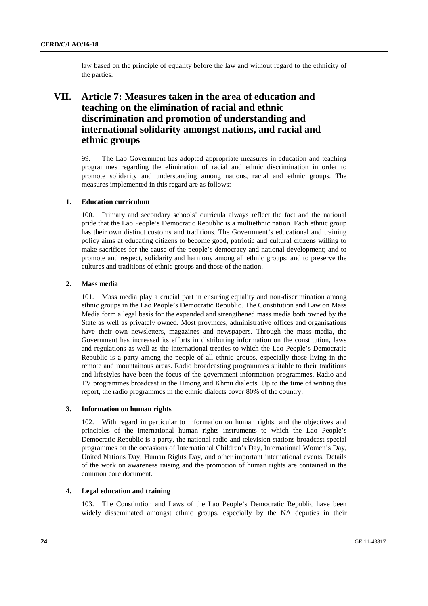law based on the principle of equality before the law and without regard to the ethnicity of the parties.

## **VII. Article 7: Measures taken in the area of education and teaching on the elimination of racial and ethnic discrimination and promotion of understanding and international solidarity amongst nations, and racial and ethnic groups**

99. The Lao Government has adopted appropriate measures in education and teaching programmes regarding the elimination of racial and ethnic discrimination in order to promote solidarity and understanding among nations, racial and ethnic groups. The measures implemented in this regard are as follows:

#### **1. Education curriculum**

100. Primary and secondary schools' curricula always reflect the fact and the national pride that the Lao People's Democratic Republic is a multiethnic nation. Each ethnic group has their own distinct customs and traditions. The Government's educational and training policy aims at educating citizens to become good, patriotic and cultural citizens willing to make sacrifices for the cause of the people's democracy and national development; and to promote and respect, solidarity and harmony among all ethnic groups; and to preserve the cultures and traditions of ethnic groups and those of the nation.

#### **2. Mass media**

101. Mass media play a crucial part in ensuring equality and non-discrimination among ethnic groups in the Lao People's Democratic Republic. The Constitution and Law on Mass Media form a legal basis for the expanded and strengthened mass media both owned by the State as well as privately owned. Most provinces, administrative offices and organisations have their own newsletters, magazines and newspapers. Through the mass media, the Government has increased its efforts in distributing information on the constitution, laws and regulations as well as the international treaties to which the Lao People's Democratic Republic is a party among the people of all ethnic groups, especially those living in the remote and mountainous areas. Radio broadcasting programmes suitable to their traditions and lifestyles have been the focus of the government information programmes. Radio and TV programmes broadcast in the Hmong and Khmu dialects. Up to the time of writing this report, the radio programmes in the ethnic dialects cover 80% of the country.

#### **3. Information on human rights**

102. With regard in particular to information on human rights, and the objectives and principles of the international human rights instruments to which the Lao People's Democratic Republic is a party, the national radio and television stations broadcast special programmes on the occasions of International Children's Day, International Women's Day, United Nations Day, Human Rights Day, and other important international events. Details of the work on awareness raising and the promotion of human rights are contained in the common core document.

#### **4. Legal education and training**

103. The Constitution and Laws of the Lao People's Democratic Republic have been widely disseminated amongst ethnic groups, especially by the NA deputies in their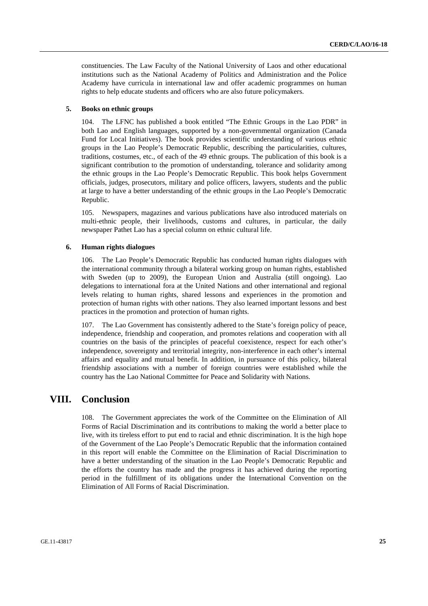constituencies. The Law Faculty of the National University of Laos and other educational institutions such as the National Academy of Politics and Administration and the Police Academy have curricula in international law and offer academic programmes on human rights to help educate students and officers who are also future policymakers.

#### **5. Books on ethnic groups**

104. The LFNC has published a book entitled "The Ethnic Groups in the Lao PDR" in both Lao and English languages, supported by a non-governmental organization (Canada Fund for Local Initiatives). The book provides scientific understanding of various ethnic groups in the Lao People's Democratic Republic, describing the particularities, cultures, traditions, costumes, etc., of each of the 49 ethnic groups. The publication of this book is a significant contribution to the promotion of understanding, tolerance and solidarity among the ethnic groups in the Lao People's Democratic Republic. This book helps Government officials, judges, prosecutors, military and police officers, lawyers, students and the public at large to have a better understanding of the ethnic groups in the Lao People's Democratic Republic.

105. Newspapers, magazines and various publications have also introduced materials on multi-ethnic people, their livelihoods, customs and cultures, in particular, the daily newspaper Pathet Lao has a special column on ethnic cultural life.

#### **6. Human rights dialogues**

106. The Lao People's Democratic Republic has conducted human rights dialogues with the international community through a bilateral working group on human rights, established with Sweden (up to 2009), the European Union and Australia (still ongoing). Lao delegations to international fora at the United Nations and other international and regional levels relating to human rights, shared lessons and experiences in the promotion and protection of human rights with other nations. They also learned important lessons and best practices in the promotion and protection of human rights.

107. The Lao Government has consistently adhered to the State's foreign policy of peace, independence, friendship and cooperation, and promotes relations and cooperation with all countries on the basis of the principles of peaceful coexistence, respect for each other's independence, sovereignty and territorial integrity, non-interference in each other's internal affairs and equality and mutual benefit. In addition, in pursuance of this policy, bilateral friendship associations with a number of foreign countries were established while the country has the Lao National Committee for Peace and Solidarity with Nations.

## **VIII. Conclusion**

108. The Government appreciates the work of the Committee on the Elimination of All Forms of Racial Discrimination and its contributions to making the world a better place to live, with its tireless effort to put end to racial and ethnic discrimination. It is the high hope of the Government of the Lao People's Democratic Republic that the information contained in this report will enable the Committee on the Elimination of Racial Discrimination to have a better understanding of the situation in the Lao People's Democratic Republic and the efforts the country has made and the progress it has achieved during the reporting period in the fulfillment of its obligations under the International Convention on the Elimination of All Forms of Racial Discrimination.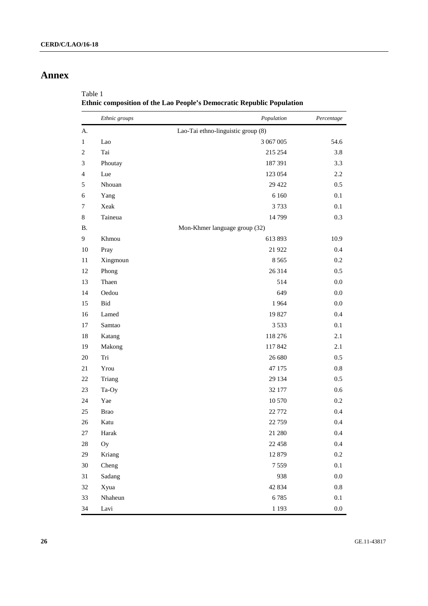## **Annex**

Table 1

**Ethnic composition of the Lao People's Democratic Republic Population** 

|                | Ethnic groups | Population                         | Percentage |
|----------------|---------------|------------------------------------|------------|
| A.             |               | Lao-Tai ethno-linguistic group (8) |            |
| 1              | Lao           | 3 067 005                          | 54.6       |
| $\overline{2}$ | Tai           | 215 254                            | 3.8        |
| 3              | Phoutay       | 187 391                            | 3.3        |
| 4              | Lue           | 123 054                            | 2.2        |
| 5              | Nhouan        | 29 4 22                            | 0.5        |
| 6              | Yang          | 6 1 6 0                            | 0.1        |
| 7              | Xeak          | 3733                               | 0.1        |
| 8              | Taineua       | 14 799                             | 0.3        |
| <b>B.</b>      |               | Mon-Khmer language group (32)      |            |
| 9              | Khmou         | 613893                             | 10.9       |
| 10             | Pray          | 21 9 22                            | 0.4        |
| 11             | Xingmoun      | 8 5 6 5                            | 0.2        |
| 12             | Phong         | 26 314                             | 0.5        |
| 13             | Thaen         | 514                                | 0.0        |
| 14             | Oedou         | 649                                | 0.0        |
| 15             | Bid           | 1964                               | 0.0        |
| 16             | Lamed         | 19827                              | 0.4        |
| 17             | Samtao        | 3 5 3 3                            | 0.1        |
| 18             | Katang        | 118 276                            | 2.1        |
| 19             | Makong        | 117842                             | 2.1        |
| 20             | Tri           | 26 680                             | 0.5        |
| 21             | Yrou          | 47 175                             | 0.8        |
| 22             | Triang        | 29 134                             | 0.5        |
| 23             | Ta-Oy         | 32 177                             | 0.6        |
| 24             | Yae           | 10 570                             | 0.2        |
| 25             | <b>Brao</b>   | 22 772                             | 0.4        |
| 26             | Katu          | 22 7 5 9                           | 0.4        |
| 27             | Harak         | 21 280                             | 0.4        |
| 28             | Oy            | 22 4 5 8                           | 0.4        |
| 29             | Kriang        | 12 879                             | $0.2\,$    |
| $30\,$         | Cheng         | 7559                               | $0.1\,$    |
| 31             | Sadang        | 938                                | $0.0\,$    |
| $32\,$         | Xyua          | 42 834                             | $\rm 0.8$  |
| 33             | Nhaheun       | 6785                               | $0.1\,$    |
| 34             | Lavi          | 1 1 9 3                            | $0.0\,$    |